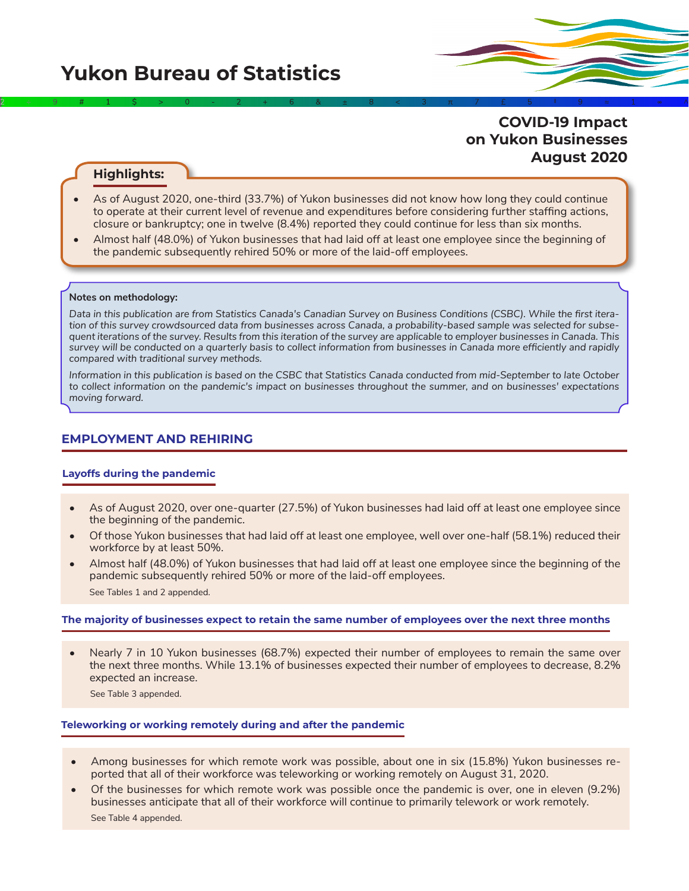# **COVID-19 Impact on Yukon Businesses August 2020**

## **Highlights:**

• As of August 2020, one-third (33.7%) of Yukon businesses did not know how long they could continue to operate at their current level of revenue and expenditures before considering further staffing actions, closure or bankruptcy; one in twelve (8.4%) reported they could continue for less than six months.

2÷9#1\$>0-2+6&±8<3π7£5‡9≈1∞^

• Almost half (48.0%) of Yukon businesses that had laid off at least one employee since the beginning of the pandemic subsequently rehired 50% or more of the laid-off employees.

#### **Notes on methodology:**

*Data in this publication are from Statistics Canada's Canadian Survey on Business Conditions (CSBC). While the first iteration of this survey crowdsourced data from businesses across Canada, a probability-based sample was selected for subsequent iterations of the survey. Results from this iteration of the survey are applicable to employer businesses in Canada. This survey will be conducted on a quarterly basis to collect information from businesses in Canada more efficiently and rapidly compared with traditional survey methods.*

*Information in this publication is based on the CSBC that Statistics Canada conducted from mid-September to late October to collect information on the pandemic's impact on businesses throughout the summer, and on businesses' expectations moving forward.*

## **EMPLOYMENT AND REHIRING**

#### **Layoffs during the pandemic**

- As of August 2020, over one-quarter (27.5%) of Yukon businesses had laid off at least one employee since the beginning of the pandemic.
- Of those Yukon businesses that had laid off at least one employee, well over one-half (58.1%) reduced their workforce by at least 50%.
- Almost half (48.0%) of Yukon businesses that had laid off at least one employee since the beginning of the pandemic subsequently rehired 50% or more of the laid-off employees. See Tables 1 and 2 appended.

### **The majority of businesses expect to retain the same number of employees over the next three months**

• Nearly 7 in 10 Yukon businesses (68.7%) expected their number of employees to remain the same over the next three months. While 13.1% of businesses expected their number of employees to decrease, 8.2% expected an increase.

See Table 3 appended.

### **Teleworking or working remotely during and after the pandemic**

- Among businesses for which remote work was possible, about one in six (15.8%) Yukon businesses reported that all of their workforce was teleworking or working remotely on August 31, 2020.
- Of the businesses for which remote work was possible once the pandemic is over, one in eleven (9.2%) businesses anticipate that all of their workforce will continue to primarily telework or work remotely. See Table 4 appended.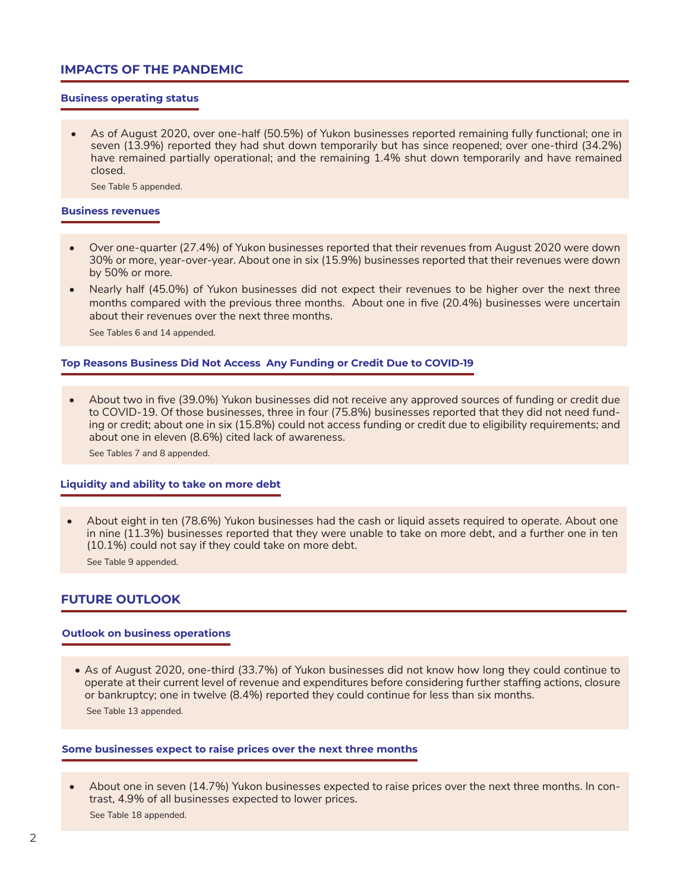## **IMPACTS OF THE PANDEMIC**

## **Business operating status**

• As of August 2020, over one-half (50.5%) of Yukon businesses reported remaining fully functional; one in seven (13.9%) reported they had shut down temporarily but has since reopened; over one-third (34.2%) have remained partially operational; and the remaining 1.4% shut down temporarily and have remained closed.

See Table 5 appended.

#### **Business revenues**

- Over one-quarter (27.4%) of Yukon businesses reported that their revenues from August 2020 were down 30% or more, year-over-year. About one in six (15.9%) businesses reported that their revenues were down by 50% or more.
- Nearly half (45.0%) of Yukon businesses did not expect their revenues to be higher over the next three months compared with the previous three months. About one in five (20.4%) businesses were uncertain about their revenues over the next three months.

See Tables 6 and 14 appended.

#### **Top Reasons Business Did Not Access Any Funding or Credit Due to COVID-19**

• About two in five (39.0%) Yukon businesses did not receive any approved sources of funding or credit due to COVID-19. Of those businesses, three in four (75.8%) businesses reported that they did not need funding or credit; about one in six (15.8%) could not access funding or credit due to eligibility requirements; and about one in eleven (8.6%) cited lack of awareness.

See Tables 7 and 8 appended.

#### **Liquidity and ability to take on more debt**

• About eight in ten (78.6%) Yukon businesses had the cash or liquid assets required to operate. About one in nine (11.3%) businesses reported that they were unable to take on more debt, and a further one in ten (10.1%) could not say if they could take on more debt.

See Table 9 appended.

## **FUTURE OUTLOOK**

#### **Outlook on business operations**

• As of August 2020, one-third (33.7%) of Yukon businesses did not know how long they could continue to operate at their current level of revenue and expenditures before considering further staffing actions, closure or bankruptcy; one in twelve (8.4%) reported they could continue for less than six months.

See Table 13 appended.

### **Some businesses expect to raise prices over the next three months**

• About one in seven (14.7%) Yukon businesses expected to raise prices over the next three months. In contrast, 4.9% of all businesses expected to lower prices. See Table 18 appended.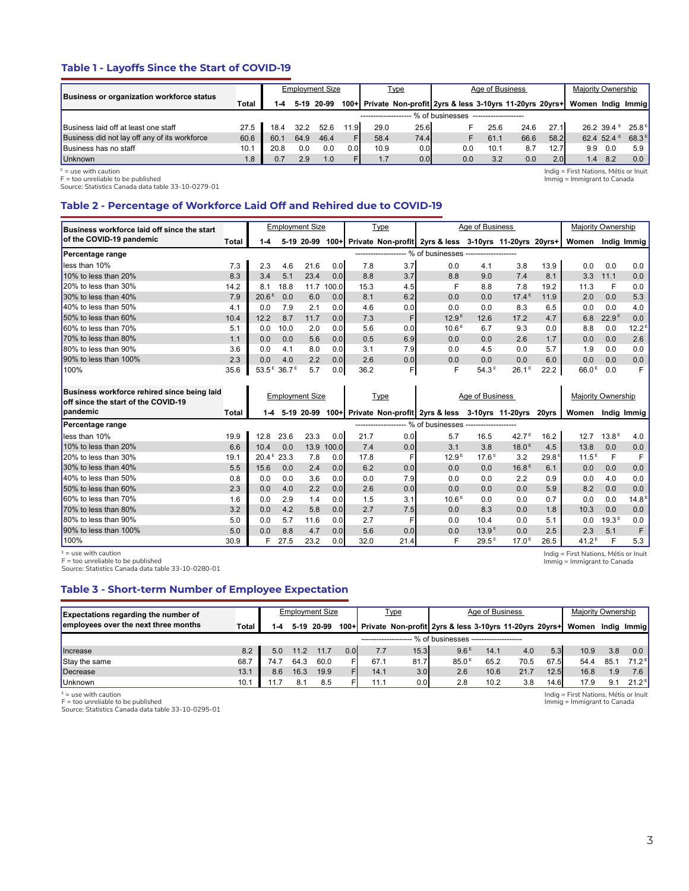## **Table 1 - Layoffs Since the Start of COVID-19**

|                                                  |                  |      |      | Employment Size |      |      | <u>Type</u> |                                                             | Age of Business |      |      | Majority Ownership |                        |                   |
|--------------------------------------------------|------------------|------|------|-----------------|------|------|-------------|-------------------------------------------------------------|-----------------|------|------|--------------------|------------------------|-------------------|
| <b>Business or organization workforce status</b> | Total            | 1-4  |      | 5-19 20-99      |      |      |             | 100+ Private Non-profit 2yrs & less 3-10yrs 11-20yrs 20yrs+ |                 |      |      | Women India Immial |                        |                   |
|                                                  |                  |      |      |                 |      |      |             | % of businesses                                             |                 |      |      |                    |                        |                   |
| Business laid off at least one staff             | 27.5             | 18.4 | 32.2 | 52.6            | 11.9 | 29.0 | 25.6        |                                                             | 25.6            | 24.6 | 27.1 |                    | $26.239.4^{\circ}$     | $25.8^{\text{E}}$ |
| Business did not lay off any of its workforce    | 60.6             | 60.1 | 64.9 | 46.4            |      | 58.4 | 74.4        |                                                             | 61.1            | 66.6 | 58.2 |                    | 62.4 52.4 <sup>E</sup> | 68.3 <sup>E</sup> |
| <b>Business has no staff</b>                     | 10.1             | 20.8 | 0.0  | 0.0             | 0.OI | 10.9 | 0.0         | 0.0                                                         | 10.1            | 8.7  | 12.7 | 9.9                | 0.0                    | 5.9               |
| <b>Unknown</b>                                   | 1.8 <sup>°</sup> |      | 2.9  | 1.0             |      | 1.7  | 0.0         | 0.0                                                         | 3.2             | 0.0  | 2.01 | 1.4                | 8.2                    | 0.0               |

<sup>E</sup> = use with caution<br>F = too unreliable to be published<br>Source: Statistics Canada data table 33-10-0279-01

## **Table 2 - Percentage of Workforce Laid Off and Rehired due to COVID-19**

| Total | 1-4                                         |      |                   |                                                   |                                                    |                                                                     |                            |                                                             |                                        |                                                                             | Women                                                                                     |                   | Indig Immig                             |
|-------|---------------------------------------------|------|-------------------|---------------------------------------------------|----------------------------------------------------|---------------------------------------------------------------------|----------------------------|-------------------------------------------------------------|----------------------------------------|-----------------------------------------------------------------------------|-------------------------------------------------------------------------------------------|-------------------|-----------------------------------------|
|       |                                             |      |                   |                                                   |                                                    |                                                                     |                            |                                                             |                                        |                                                                             |                                                                                           |                   |                                         |
| 7.3   | 2.3                                         | 4.6  | 21.6              |                                                   | 7.8                                                |                                                                     | 0.0                        | 4.1                                                         | 3.8                                    | 13.9                                                                        | 0.0                                                                                       | 0.0               | 0.0                                     |
| 8.3   | 3.4                                         | 5.1  | 23.4              |                                                   | 8.8                                                |                                                                     | 8.8                        | 9.0                                                         | 7.4                                    | 8.1                                                                         | 3.3                                                                                       | 11.1              | 0.0                                     |
| 14.2  | 8.1                                         | 18.8 | 11.7              |                                                   | 15.3                                               |                                                                     | F                          | 8.8                                                         | 7.8                                    | 19.2                                                                        | 11.3                                                                                      | F                 | 0.0                                     |
| 7.9   |                                             | 0.0  | 6.0               |                                                   | 8.1                                                |                                                                     | 0.0                        | 0.0                                                         |                                        | 11.9                                                                        | 2.0                                                                                       | 0.0               | 5.3                                     |
| 4.1   | 0.0                                         | 7.9  | 2.1               |                                                   | 4.6                                                |                                                                     | 0.0                        | 0.0                                                         | 8.3                                    | 6.5                                                                         | 0.0                                                                                       | 0.0               | 4.0                                     |
| 10.4  | 12.2                                        | 8.7  | 11.7              |                                                   | 7.3                                                | F                                                                   |                            | 12.6                                                        | 17.2                                   | 4.7                                                                         | 6.8                                                                                       | 22.9 <sup>E</sup> | 0.0                                     |
| 5.1   | 0.0                                         | 10.0 | 2.0               |                                                   | 5.6                                                |                                                                     |                            | 6.7                                                         | 9.3                                    | 0.0                                                                         | 8.8                                                                                       | 0.0               | 12.2 <sup>E</sup>                       |
| 1.1   | 0.0                                         | 0.0  | 5.6               |                                                   | 0.5                                                |                                                                     | 0.0                        | 0.0                                                         | 2.6                                    | 1.7                                                                         | 0.0                                                                                       | 0.0               | 2.6                                     |
| 3.6   | 0.0                                         | 4.1  | 8.0               |                                                   | 3.1                                                |                                                                     | 0.0                        | 4.5                                                         | 0.0                                    | 5.7                                                                         | 1.9                                                                                       | 0.0               | 0.0                                     |
| 2.3   | 0.0                                         | 4.0  | 2.2               |                                                   | 2.6                                                |                                                                     | 0.0                        | 0.0                                                         | 0.0                                    | 6.0                                                                         | 0.0                                                                                       | 0.0               | 0.0                                     |
| 35.6  |                                             |      | 5.7               |                                                   | 36.2                                               | F                                                                   | F                          |                                                             |                                        | 22.2                                                                        |                                                                                           | 0.0               | F                                       |
|       | Business workforce laid off since the start |      | 20.6 <sup>E</sup> | 5-19 20-99<br>53.5 <sup>E</sup> 36.7 <sup>E</sup> | <b>Employment Size</b><br>0.01<br>0.0 <sub>l</sub> | 0.0<br>0.01<br>100.0<br>0.01<br>0.01<br>0.0<br>0.01<br>0.01<br>0.01 | Type<br>------------------ | 3.7<br>3.7<br>4.5<br>6.2<br>0.0<br>0.0<br>6.9<br>7.9<br>0.0 | 12.9 <sup>E</sup><br>10.6 <sup>E</sup> | Age of Business<br>% of businesses -------------------<br>54.3 <sup>E</sup> | 100+ Private Non-profit 2yrs & less 3-10yrs 11-20yrs 20yrs+<br>$17.4^E$<br>$26.1^{\circ}$ |                   | Majority Ownership<br>66.0 <sup>E</sup> |

| Business workforce rehired since being laid<br>off since the start of the COVID-19 |       |                        |      | <b>Employment Size</b> |                  |      | <u>Type</u> |                                                            | Age of Business   |                   |                   | Majority Ownership |                   |                   |
|------------------------------------------------------------------------------------|-------|------------------------|------|------------------------|------------------|------|-------------|------------------------------------------------------------|-------------------|-------------------|-------------------|--------------------|-------------------|-------------------|
| <b>I</b> pandemic                                                                  | Total | 1-4                    |      | 5-19 20-99             |                  |      |             | 100+ Private Non-profit 2yrs & less 3-10yrs 11-20yrs 20yrs |                   |                   |                   | Women              |                   | Indig Immig       |
| Percentage range                                                                   |       |                        |      |                        |                  |      |             | $\cdot$ % of businesses $\cdot$                            |                   |                   |                   |                    |                   |                   |
| lless than 10%                                                                     | 19.9  | 12.8                   | 23.6 | 23.3                   | 0.0              | 21.7 | 0.0         | 5.7                                                        | 16.5              | 42.7 <sup>5</sup> | 16.2              | 12.7               | 13.8 <sup>E</sup> | 4.0               |
| 10% to less than 20%                                                               | 6.6   | 10.4                   | 0.0  | 13.9                   | 100.0            | 7.4  | 0.0         | 3.1                                                        | 3.8               | 18.0 <sup>E</sup> | 4.5               | 13.8               | 0.0               | 0.0               |
| $120\%$ to less than $30\%$                                                        | 19.1  | $20.4^{\text{E}}$ 23.3 |      | 7.8                    | 0.0              | 17.8 |             | 12.9 <sup>E</sup>                                          | 17.6 <sup>E</sup> | 3.2               | 29.8 <sup>E</sup> | $11.5^E$           | F                 | F                 |
| $130\%$ to less than $40\%$                                                        | 5.5   | 15.6                   | 0.0  | 2.4                    | 0.0 <sub>l</sub> | 6.2  | 0.0         | 0.0                                                        | 0.0               | 16.8 <sup>E</sup> | 6.1               | 0.0                | 0.0               | 0.0               |
| $140\%$ to less than 50%                                                           | 0.8   | 0.0                    | 0.0  | 3.6                    | 0.0              | 0.0  | 7.9         | 0.0                                                        | 0.0               | 2.2               | 0.9               | 0.0                | 4.0               | 0.0               |
| $150\%$ to less than 60%                                                           | 2.3   | 0.0                    | 4.0  | 2.2                    | 0.0              | 2.6  | 0.0         | 0.0                                                        | 0.0               | 0.0               | 5.9               | 8.2                | 0.0               | 0.0               |
| $160\%$ to less than $70\%$                                                        | 1.6   | 0.0                    | 2.9  | 1.4                    | 0.0 <sub>l</sub> | 1.5  | 3.1         | 10.6 <sup>E</sup>                                          | 0.0               | 0.0               | 0.7               | 0.0                | 0.0               | 14.8 <sup>E</sup> |
| 170% to less than 80%                                                              | 3.2   | 0.0                    | 4.2  | 5.8                    | 0.0 <sub>l</sub> | 2.7  | 7.5         | 0.0                                                        | 8.3               | 0.0               | 1.8               | 10.3               | 0.0               | 0.0               |
| 180% to less than 90%                                                              | 5.0   | 0.0                    | 5.7  | 11.6                   | 0.0              | 2.7  |             | 0.0                                                        | 10.4              | 0.0               | 5.1               | 0.0                | 19.3 <sup>E</sup> | 0.0               |
| $190\%$ to less than 100%                                                          | 5.0   | 0.0                    | 8.8  | 4.7                    | 0.01             | 5.6  | 0.0         | 0.0                                                        | 13.9 <sup>E</sup> | 0.0               | 2.5               | 2.3                | 5.1               | F                 |
| 100%                                                                               | 30.9  | F.                     | 27.5 | 23.2                   | 0.0              | 32.0 | 21.4        | F                                                          | $29.5^E$          | 17.0 <sup>E</sup> | 26.5              | 41.2 <sup>E</sup>  | F                 | 5.3               |

 $E =$  use with caution

F = too unreliable to be published Source: Statistics Canada data table 33-10-0280-01

## **Table 3 - Short-term Number of Employee Expectation**

| <b>Expectations regarding the number of</b> |       |      |      | <b>Employment Size</b> |     |      | <u>Type</u>      |                                                             | Age of Business |      |      | Majority Ownership |      |                   |
|---------------------------------------------|-------|------|------|------------------------|-----|------|------------------|-------------------------------------------------------------|-----------------|------|------|--------------------|------|-------------------|
| employees over the next three months        | Total |      |      | 5-19 20-99             |     |      |                  | 100+ Private Non-profit 2yrs & less 3-10yrs 11-20yrs 20yrs+ |                 |      |      | Women              |      | India Immial      |
|                                             |       |      |      |                        |     |      |                  | - % of businesses -------------------                       |                 |      |      |                    |      |                   |
| <b>Increase</b>                             | 8.2   | 5.0  | 11.2 | 11.7                   | 0.0 | 7.7  | 15.3             | 9.6 <sup>E</sup>                                            | 14.1            | 4.0  | 5.3  | 10.9               | 3.8  | 0.0 <sub>1</sub>  |
| Stay the same                               | 68.7  | 74.7 | 64.3 | 60.0                   |     | 67.1 | 81.7             | 85.0 <sup>E</sup>                                           | 65.2            | 70.5 | 67.5 | 54.4               | 85.1 | 71 2 티            |
| Decrease                                    | 13.1  | 8.6  | 16.3 | 19.9                   |     | 14.1 | 3.0              | 2.6                                                         | 10.6            | 21.7 | 12.5 | 16.8               | 1.9  | 7.6 I             |
| <b>Unknown</b>                              | 10.1  |      | 8.1  | 8.5                    |     | 11.1 | 0.0 <sub>l</sub> | 2.8                                                         | 10.2            | 3.8  | 14.6 | 17.9               | 9.1  | $21.2^{\text{E}}$ |

<sup>E</sup> = use with caution<br>F = too unreliable to be published<br>Source: Statistics Canada data table 33-10-0295-01

Indig = First Nations, Métis or Inuit Immig = Immigrant to Canada

Indig = First Nations, Métis or Inuit Immig = Immigrant to Canada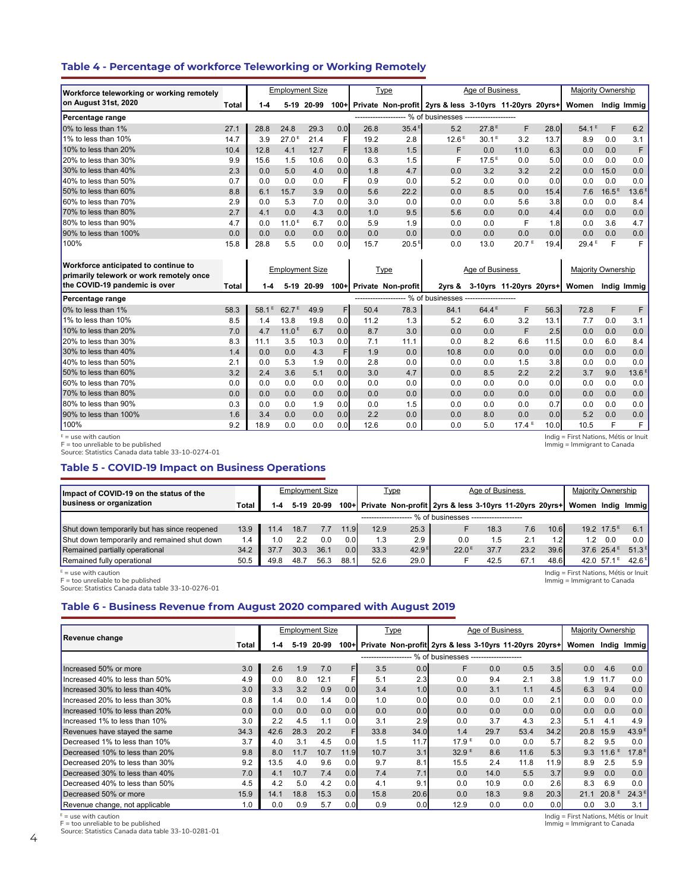### **Table 4 - Percentage of workforce Teleworking or Working Remotely**

| Workforce teleworking or working remotely                                        |       |           |                   | <b>Employment Size</b> |     |                   | Type                    |                                                             | Age of Business |                         |      | <b>Majority Ownership</b> |       |                   |
|----------------------------------------------------------------------------------|-------|-----------|-------------------|------------------------|-----|-------------------|-------------------------|-------------------------------------------------------------|-----------------|-------------------------|------|---------------------------|-------|-------------------|
| on August 31st, 2020                                                             | Total | $1 - 4$   | $5-19$            | 20-99                  |     |                   |                         | 100+ Private Non-profit 2yrs & less 3-10yrs 11-20yrs 20yrs+ |                 |                         |      | Women                     |       | India Immia       |
| Percentage range                                                                 |       |           |                   |                        |     |                   |                         | ------------------- % of businesses -------------------     |                 |                         |      |                           |       |                   |
| 0% to less than 1%                                                               | 27.1  | 28.8      | 24.8              | 29.3                   | 0.0 | 26.8              | 35.4 <sup>E</sup>       | 5.2                                                         | 27.8E           | F                       | 28.0 | $54.1^E$                  | F     | 6.2               |
| 1% to less than 10%                                                              | 14.7  | 3.9       | 27.0 <sup>E</sup> | 21.4                   | F   | 19.2              | 2.8                     | 12.6 <sup>E</sup>                                           | $30.1^E$        | 3.2                     | 13.7 | 8.9                       | 0.0   | 3.1               |
| 10% to less than 20%                                                             | 10.4  | 12.8      | 4.1               | 12.7                   | F   | 13.8              | 1.5                     | F                                                           | 0.0             | 11.0                    | 6.3  | 0.0                       | 0.0   | F                 |
| 20% to less than 30%                                                             | 9.9   | 15.6      | 1.5               | 10.6                   | 0.0 | 6.3               | 1.5                     | F                                                           | $17.5^E$        | 0.0                     | 5.0  | 0.0                       | 0.0   | 0.0               |
| 30% to less than 40%                                                             | 2.3   | 0.0       | 5.0               | 4.0                    | 0.0 | 1.8               | 4.7                     | 0.0                                                         | 3.2             | 3.2                     | 2.2  | 0.0                       | 15.0  | 0.0               |
| 40% to less than 50%                                                             | 0.7   | 0.0       | 0.0               | 0.0                    | F   | 0.9               | 0.0                     | 5.2                                                         | 0.0             | 0.0                     | 0.0  | 0.0                       | 0.0   | 0.0               |
| 50% to less than 60%                                                             | 8.8   | 6.1       | 15.7              | 3.9                    | 0.0 | 5.6               | 22.2                    | 0.0                                                         | 8.5             | 0.0                     | 15.4 | 7.6                       | 16.5E | 13.6 <sup>E</sup> |
| 60% to less than 70%                                                             | 2.9   | 0.0       | 5.3               | 7.0                    | 0.0 | 3.0               | 0.0                     | 0.0                                                         | 0.0             | 5.6                     | 3.8  | 0.0                       | 0.0   | 8.4               |
| 70% to less than 80%                                                             | 2.7   | 4.1       | 0.0               | 4.3                    | 0.0 | 1.0               | 9.5                     | 5.6                                                         | 0.0             | 0.0                     | 4.4  | 0.0                       | 0.0   | 0.0               |
| 80% to less than 90%                                                             | 4.7   | 0.0       | 11.0 <sup>E</sup> | 6.7                    | 0.0 | 5.9               | 1.9                     | 0.0                                                         | 0.0             | F                       | 1.8  | 0.0                       | 3.6   | 4.7               |
| 90% to less than 100%                                                            | 0.0   | 0.0       | 0.0               | 0.0                    | 0.0 | 0.0               | 0.0                     | 0.0                                                         | 0.0             | 0.0                     | 0.0  | 0.0                       | 0.0   | 0.0               |
| 100%                                                                             | 15.8  | 28.8      | 5.5               | 0.0                    | 0.0 | 15.7              | 20.5 <sup>E</sup>       | 0.0                                                         | 13.0            | 20.7 <sup>E</sup>       | 19.4 | 29.4 <sup>E</sup>         | F     | F                 |
| Workforce anticipated to continue to<br>primarily telework or work remotely once |       |           |                   | <b>Employment Size</b> |     |                   | Type                    |                                                             | Age of Business |                         |      | <b>Majority Ownership</b> |       |                   |
| the COVID-19 pandemic is over                                                    | Total | $1 - 4$   |                   | 5-19 20-99             |     |                   | 100+ Private Non-profit | 2yrs &                                                      |                 | 3-10yrs 11-20yrs 20yrs+ |      | Women                     |       | Indig Immig       |
| Percentage range                                                                 |       |           |                   |                        |     | ----------------- |                         | - % of businesses -------------------                       |                 |                         |      |                           |       |                   |
| 0% to less than 1%                                                               | 58.3  | Е<br>58.1 | 62.7 <sup>E</sup> | 49.9                   | F   | 50.4              | 78.3                    | 84.1                                                        | $64.4^E$        | F                       | 56.3 | 72.8                      | F     | F                 |
| 1% to less than 10%                                                              | 8.5   | 1.4       | 13.8              | 19.8                   | 0.0 | 11.2              | 1.3                     | 5.2                                                         | 6.0             | 3.2                     | 13.1 | 7.7                       | 0.0   | 3.1               |
| 10% to less than 20%                                                             | 7.0   | 4.7       | 11.0 <sup>E</sup> | 6.7                    | 0.0 | 8.7               | 3.0                     | 0.0                                                         | 0.0             | F                       | 2.5  | 0.0                       | 0.0   | 0.0               |
| 20% to less than 30%                                                             | 8.3   | 11.1      | 3.5               | 10.3                   | 0.0 | 7.1               | 11.1                    | 0.0                                                         | 8.2             | 6.6                     | 11.5 | 0.0                       | 6.0   | 8.4               |
| 30% to less than 40%                                                             | 1.4   | 0.0       | 0.0               | 4.3                    | F   | 1.9               | 0.0                     | 10.8                                                        | 0.0             | 0.0                     | 0.0  | 0.0                       | 0.0   | 0.0               |

40% to less than 50% 2.1 0.0 5.3 1.9 0.0 2.8 0.0 0.0 0.0 1.5 3.8 0.0 0.0 0.0 50% to less than 60% 3.2 2.4 3.6 5.1 0.0 3.0 4.7 0.0 8.5 2.2 2.2 3.7 9.0 13.6 <sup>E</sup> 60% to less than 70% 0.0 0.0 0.0 0.0 0.0 0.0 0.0 0.0 0.0 0.0 0.0 0.0 0.0 0.0 70% to less than 80% 0.0 ┃ 0.0 0.0 0.0 0.0 ┃ 0.0 0.0 0.0 0.0 0.0 0.0 0.0 0.0 80% to less than 90% 0.3 0.0 0.0 1.9 0.0 0.0 1.5 0.0 0.0 0.0 0.7 0.0 0.0 0.0 90% to less than 100% 1.6 3.4 0.0 0.0 0.0 2.2 0.0 0.0 8.0 0.0 0.0 5.2 0.0 0.0 100% 9.2 18.9 0.0 0.0 0.0 12.6 0.0 0.0 5.0 17.4 <sup>E</sup> 10.0 10.5 F F

 $E =$  use with caution

F = too unreliable to be published Source: Statistics Canada data table 33-10-0274-01

#### **Table 5 - COVID-19 Impact on Business Operations**

| Impact of COVID-19 on the status of the      |       |      |      | <b>Employment Size</b> |      |      | <u>Type</u>       |                                                             | Age of Business |      |                  | Majority Ownership |                        |                |
|----------------------------------------------|-------|------|------|------------------------|------|------|-------------------|-------------------------------------------------------------|-----------------|------|------------------|--------------------|------------------------|----------------|
| business or organization                     | Total |      |      | 5-19 20-99             |      |      |                   | 100+ Private Non-profit 2yrs & less 3-10yrs 11-20yrs 20yrs+ |                 |      |                  | Women India Immia  |                        |                |
|                                              |       |      |      |                        |      |      |                   | % of businesses -------------------                         |                 |      |                  |                    |                        |                |
| Shut down temporarily but has since reopened | 13.9  |      | 18.7 |                        | 11.9 | 12.9 | 25.3              |                                                             | 18.3            | 7.6  | 10.6             |                    | $19.2 \ 17.5^E$        | 61             |
| Shut down temporarily and remained shut down | 1.4   |      |      | 0.0                    | 0.01 | 1.3  | 2.9               | 0.0                                                         | 1.5             |      | 1.2 <sub>l</sub> | 1.2                | 0.0                    | 0.0            |
| Remained partially operational               | 34.2  | 37.7 | 30.3 | 36.7                   | 0.0  | 33.3 | 42.9 <sup>E</sup> | 22.0 <sup>E</sup>                                           | 37.7            | 23.2 | 39.6             |                    | 37.6 $25.4^{\text{E}}$ | $51.3^E$       |
| Remained fully operational                   | 50.5  | 49.8 | 48.7 | 56.3                   | 88.1 | 52.6 | 29.0              |                                                             | 42.5            | 67.1 | 48.6             |                    | 42.0 57.1 <sup>E</sup> | $42.6^{\circ}$ |

 $\mathbf{E} = \mathbf{u} \mathbf{se}$  with caution

Indig = First Nations, Métis or Inuit Immig = Immigrant to Canada

Indig = First Nations, Métis or Inuit Immig = Immigrant to Canada

 $F =$  too unreliable to be published

Source: Statistics Canada data table 33-10-0276-01

## **Table 6 - Business Revenue from August 2020 compared with August 2019**

|                                |       |      |      | <b>Employment Size</b> |                  |                     | <u>Type</u> |                                                             | Age of Business |      |      | Majority Ownership                    |           |                   |
|--------------------------------|-------|------|------|------------------------|------------------|---------------------|-------------|-------------------------------------------------------------|-----------------|------|------|---------------------------------------|-----------|-------------------|
| <b>Revenue change</b>          | Total | 1-4  | 5-19 | 20-99                  |                  |                     |             | 100+ Private Non-profit 2yrs & less 3-10yrs 11-20yrs 20yrs+ |                 |      |      | Women                                 |           | Indig Immig       |
|                                |       |      |      |                        |                  | ------------------- |             | % of businesses --------------------                        |                 |      |      |                                       |           |                   |
| Increased 50% or more          | 3.0   | 2.6  | 1.9  | 7.0                    | FI               | 3.5                 | 0.0         | F                                                           | 0.0             | 0.5  | 3.5  | 0.0                                   | 4.6       | 0.0               |
| Increased 40% to less than 50% | 4.9   | 0.0  | 8.0  | 12.1                   |                  | 5.1                 | 2.3         | 0.0                                                         | 9.4             | 2.1  | 3.8  | 1.9                                   | 11.7      | 0.0               |
| Increased 30% to less than 40% | 3.0   | 3.3  | 3.2  | 0.9                    | 0.0 <sub>l</sub> | 3.4                 | 1.0         | 0.0                                                         | 3.1             | 1.1  | 4.5  | 6.3                                   | 9.4       | 0.0               |
| Increased 20% to less than 30% | 0.8   | 1.4  | 0.0  | 1.4                    | 0.0 <sub>l</sub> | 1.0                 | 0.0         | 0.0                                                         | 0.0             | 0.0  | 2.1  | 0.0                                   | 0.0       | 0.0               |
| Increased 10% to less than 20% | 0.0   | 0.0  | 0.0  | 0.0                    | 0.0 <sub>l</sub> | 0.0                 | 0.0         | 0.0                                                         | 0.0             | 0.0  | 0.0  | 0.0                                   | 0.0       | 0.0               |
| Increased 1% to less than 10%  | 3.0   | 2.2  | 4.5  | 1.1                    | 0.0              | 3.1                 | 2.9         | 0.0                                                         | 3.7             | 4.3  | 2.3  | 5.1                                   | 4.1       | 4.9               |
| Revenues have stayed the same  | 34.3  | 42.6 | 28.3 | 20.2                   |                  | 33.8                | 34.0        | 1.4                                                         | 29.7            | 53.4 | 34.2 | 20.8                                  | 15.9      | 43.9 <sup>E</sup> |
| Decreased 1% to less than 10%  | 3.7   | 4.0  | 3.1  | 4.5                    | 0.0              | 1.5                 | 11.7        | 17.9 <sup>E</sup>                                           | 0.0             | 0.0  | 5.7  | 8.2                                   | 9.5       | 0.0               |
| Decreased 10% to less than 20% | 9.8   | 8.0  | 11.7 | 10.7                   | 11.9             | 10.7                | 3.1         | 32.9 <sup>E</sup>                                           | 8.6             | 11.6 | 5.3  | 9.3                                   | 11.6<br>Е | 17.8 <sup>E</sup> |
| Decreased 20% to less than 30% | 9.2   | 13.5 | 4.0  | 9.6                    | 0.0              | 9.7                 | 8.1         | 15.5                                                        | 2.4             | 11.8 | 11.9 | 8.9                                   | 2.5       | 5.9               |
| Decreased 30% to less than 40% | 7.0   | 4.1  | 10.7 | 7.4                    | 0.0 <sub>l</sub> | 7.4                 | 7.1         | 0.0                                                         | 14.0            | 5.5  | 3.7  | 9.9                                   | 0.0       | 0.0               |
| Decreased 40% to less than 50% | 4.5   | 4.2  | 5.0  | 4.2                    | 0.0              | 4.1                 | 9.1         | 0.0                                                         | 10.9            | 0.0  | 2.6  | 8.3                                   | 6.9       | 0.0               |
| Decreased 50% or more          | 15.9  | 14.1 | 18.8 | 15.3                   | 0.0              | 15.8                | 20.6        | 0.0                                                         | 18.3            | 9.8  | 20.3 | 21.1                                  | 20.8      | 24.3 <sup>E</sup> |
| Revenue change, not applicable | 1.0   | 0.0  | 0.9  | 5.7                    | 0.01             | 0.9                 | 0.0         | 12.9                                                        | 0.0             | 0.0  | 0.0  | 0.0                                   | 3.0       | 3.1               |
| $E =$ use with caution         |       |      |      |                        |                  |                     |             |                                                             |                 |      |      | Indig = First Nations, Métis or Inuit |           |                   |

F = too unreliable to be published

Source: Statistics Canada data table 33-10-0281-01

Immig = Immigrant to Canada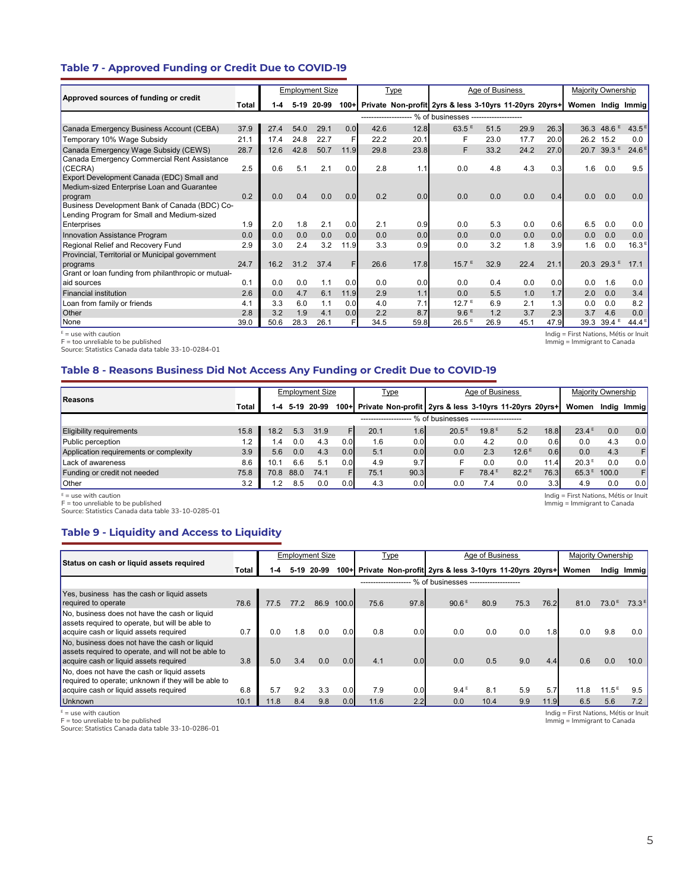## **Table 7 - Approved Funding or Credit Due to COVID-19**

|                                                                                             |       |      |      | <b>Employment Size</b> |        |                       | <b>Type</b> |                                                        | Age of Business |      |      | Majority Ownership |                     |                   |
|---------------------------------------------------------------------------------------------|-------|------|------|------------------------|--------|-----------------------|-------------|--------------------------------------------------------|-----------------|------|------|--------------------|---------------------|-------------------|
| Approved sources of funding or credit                                                       | Total | 1-4  |      | 5-19 20-99             | $100+$ |                       |             | Private Non-profit 2yrs & less 3-10yrs 11-20yrs 20yrs+ |                 |      |      | Women Indig Immig  |                     |                   |
|                                                                                             |       |      |      |                        |        | --------------------- |             | - % of businesses --------------------                 |                 |      |      |                    |                     |                   |
| Canada Emergency Business Account (CEBA)                                                    | 37.9  | 27.4 | 54.0 | 29.1                   | 0.0    | 42.6                  | 12.8        | 63.5E                                                  | 51.5            | 29.9 | 26.3 | 36.3               | $48.6$ <sup>E</sup> | 43.5              |
| Temporary 10% Wage Subsidy                                                                  | 21.1  | 17.4 | 24.8 | 22.7                   |        | 22.2                  | 20.1        | F                                                      | 23.0            | 17.7 | 20.0 | 26.2               | 15.2                | 0.0               |
| Canada Emergency Wage Subsidy (CEWS)                                                        | 28.7  | 12.6 | 42.8 | 50.7                   | 11.9   | 29.8                  | 23.8        | F                                                      | 33.2            | 24.2 | 27.0 | 20.7               | 39.3E               | 24.6 <sup>E</sup> |
| Canada Emergency Commercial Rent Assistance<br>(CECRA)                                      | 2.5   | 0.6  | 5.1  | 2.1                    | 0.0    | 2.8                   | 1.1         | 0.0                                                    | 4.8             | 4.3  | 0.3  | 1.6                | 0.0                 | 9.5               |
| Export Development Canada (EDC) Small and<br>Medium-sized Enterprise Loan and Guarantee     |       |      |      |                        |        |                       |             |                                                        |                 |      |      |                    |                     |                   |
| program                                                                                     | 0.2   | 0.0  | 0.4  | 0.0                    | 0.0    | 0.2                   | 0.0         | 0.0                                                    | 0.0             | 0.0  | 0.4  | 0.0                | 0.0                 | 0.0               |
| Business Development Bank of Canada (BDC) Co-<br>Lending Program for Small and Medium-sized |       |      |      |                        |        |                       |             |                                                        |                 |      |      |                    |                     |                   |
| Enterprises                                                                                 | 1.9   | 2.0  | 1.8  | 2.1                    | 0.0    | 2.1                   | 0.9         | 0.0                                                    | 5.3             | 0.0  | 0.6  | 6.5                | 0.0                 | 0.0               |
| Innovation Assistance Program                                                               | 0.0   | 0.0  | 0.0  | 0.0                    | 0.0    | 0.0                   | 0.0         | 0.0                                                    | 0.0             | 0.0  | 0.0  | 0.0                | 0.0                 | 0.0               |
| Regional Relief and Recovery Fund                                                           | 2.9   | 3.0  | 2.4  | 3.2                    | 11.9   | 3.3                   | 0.9         | 0.0                                                    | 3.2             | 1.8  | 3.9  | 1.6                | 0.0                 | 16.3 <sup>E</sup> |
| Provincial, Territorial or Municipal government                                             |       |      |      |                        |        |                       |             |                                                        |                 |      |      |                    |                     |                   |
| programs                                                                                    | 24.7  | 16.2 | 31.2 | 37.4                   | F.     | 26.6                  | 17.8        | 15.7 <sup>E</sup>                                      | 32.9            | 22.4 | 21.1 |                    | 20.3 29.3 $E$       | 17.1              |
| Grant or loan funding from philanthropic or mutual-                                         |       |      |      |                        |        |                       |             |                                                        |                 |      |      |                    |                     |                   |
| aid sources                                                                                 | 0.1   | 0.0  | 0.0  | 1.1                    | 0.0    | 0.0                   | 0.0         | 0.0                                                    | 0.4             | 0.0  | 0.0  | 0.0                | 1.6                 | 0.0               |
| <b>Financial institution</b>                                                                | 2.6   | 0.0  | 4.7  | 6.1                    | 11.9   | 2.9                   | 1.1         | 0.0                                                    | 5.5             | 1.0  | 1.7  | 2.0                | 0.0                 | 3.4               |
| Loan from family or friends                                                                 | 4.1   | 3.3  | 6.0  | 1.1                    | 0.0    | 4.0                   | 7.1         | 12.7 <sup>E</sup>                                      | 6.9             | 2.1  | 1.3  | 0.0                | 0.0                 | 8.2               |
| <b>Other</b>                                                                                | 2.8   | 3.2  | 1.9  | 4.1                    | 0.0    | 2.2                   | 8.7         | 9.6E                                                   | 1.2             | 3.7  | 2.3  | 3.7                | 4.6                 | 0.0               |
| None                                                                                        | 39.0  | 50.6 | 28.3 | 26.1                   |        | 34.5                  | 59.8        | $26.5$ <sup>E</sup>                                    | 26.9            | 45.1 | 47.9 | 39.3               | $39.4$ <sup>E</sup> | $44.4^{\text{E}}$ |

 $E =$  use with caution

F = too unreliable to be published Source: Statistics Canada data table 33-10-0284-01 Indig = First Nations, Métis or Inuit Immig = Immigrant to Canada

Indig = First Nations, Métis or Inuit Immig = Immigrant to Canada

### **Table 8 - Reasons Business Did Not Access Any Funding or Credit Due to COVID-19**

|                                        |       |                |      | <b>Employment Size</b> |     |      | <b>Type</b> |                                                             | Age of Business       |                   |      | Majority Ownership |       |             |
|----------------------------------------|-------|----------------|------|------------------------|-----|------|-------------|-------------------------------------------------------------|-----------------------|-------------------|------|--------------------|-------|-------------|
| Reasons                                | Total | 1-4            |      | 5-19 20-99             |     |      |             | 100+ Private Non-profit 2yrs & less 3-10yrs 11-20yrs 20yrs+ |                       |                   |      | Women              |       | Indig Immig |
|                                        |       |                |      |                        |     |      |             | % of businesses                                             | --------------------- |                   |      |                    |       |             |
| <b>Eligibility requirements</b>        | 15.8  | $18.2^{\circ}$ | 5.3  | 31.9                   | FI  | 20.1 | 1.6         | $20.5^{\text{g}}$                                           | 19.8E                 | 5.2               | 18.8 | $23.4^E$           | 0.0   | 0.0         |
| Public perception                      | 1.2   | 4              | 0.0  | 4.3                    | 0.0 | 1.6  | 0.0         | 0.0                                                         | 4.2                   | 0.0               | 0.6  | 0.0                | 4.3   | 0.0         |
| Application requirements or complexity | 3.9   | 5.6            | 0.0  | 4.3                    | 0.0 | 5.1  | 0.0         | 0.0                                                         | 2.3                   | $12.6^{\text{E}}$ | 0.6  | 0.0                | 4.3   | F           |
| Lack of awareness                      | 8.6   | 10.1           | 6.6  | 5.1                    | 0.0 | 4.9  | 9.7         |                                                             | 0.0                   | 0.0               | 11.4 | 20.3 <sup>E</sup>  | 0.0   | 0.0         |
| Funding or credit not needed           | 75.8  | 70.8           | 88.0 | 74.1                   |     | 75.1 | 90.3        | F                                                           | 78.4 <sup>E</sup>     | 82.2 <sup>E</sup> | 76.3 | 65.3E              | 100.0 | F           |
| <b>Other</b>                           | 3.2   |                | 8.5  | 0.0                    | 0.0 | 4.3  | 0.0         | 0.0                                                         | 7.4                   | 0.0               | 3.3  | 4.9                | 0.0   | 0.0         |

 $E =$  use with caution

F = too unreliable to be published Source: Statistics Canada data table 33-10-0285-01

## **Table 9 - Liquidity and Access to Liquidity**

| Status on cash or liquid assets required                                                                                                       |       |      |      | <b>Employment Size</b> |                  |      | Type                  |                                                             | Age of Business |      |      | <b>Majority Ownership</b> |                   |                |
|------------------------------------------------------------------------------------------------------------------------------------------------|-------|------|------|------------------------|------------------|------|-----------------------|-------------------------------------------------------------|-----------------|------|------|---------------------------|-------------------|----------------|
|                                                                                                                                                | Total | 1-4  |      | 5-19 20-99             |                  |      |                       | 100+ Private Non-profit 2yrs & less 3-10yrs 11-20yrs 20yrs+ |                 |      |      | Women                     |                   | Indig Immig    |
|                                                                                                                                                |       |      |      |                        |                  |      | --------------------- | % of businesses --------------------                        |                 |      |      |                           |                   |                |
| Yes, business has the cash or liquid assets<br>required to operate                                                                             | 78.6  | 77.5 | 77.2 | 86.9                   | 100.0            | 75.6 | 97.8                  | 90.6 <sup>E</sup>                                           | 80.9            | 75.3 | 76.2 | 81.0                      | 73.0 <sup>E</sup> | $73.3^{\circ}$ |
| No. business does not have the cash or liquid<br>assets required to operate, but will be able to<br>acquire cash or liquid assets required     | 0.7   | 0.0  | 1.8  | 0.0                    | 0.0              | 0.8  | 0.0                   | 0.0                                                         | 0.0             | 0.0  | 1.8  | 0.0                       | 9.8               | 0.0            |
| No, business does not have the cash or liquid<br>assets required to operate, and will not be able to<br>acquire cash or liquid assets required | 3.8   | 5.0  | 3.4  | 0.0                    | 0.0              | 4.1  | 0.0                   | 0.0                                                         | 0.5             | 9.0  | 4.4  | 0.6                       | 0.0               | 10.0           |
| No, does not have the cash or liquid assets<br>required to operate; unknown if they will be able to                                            |       |      |      |                        |                  |      |                       |                                                             |                 |      |      |                           |                   |                |
| acquire cash or liquid assets required                                                                                                         | 6.8   | 5.7  | 9.2  | 3.3                    | 0.0              | 7.9  | 0.0                   | 9.4 <sup>E</sup>                                            | 8.1             | 5.9  | 5.7  | 11.8                      | $11.5^{\circ}$    | 9.5            |
| <b>Unknown</b>                                                                                                                                 | 10.1  | 11.8 | 8.4  | 9.8                    | 0.0 <sub>l</sub> | 11.6 | 2.2                   | 0.0                                                         | 10.4            | 9.9  | 11.9 | 6.5                       | 5.6               |                |

<sup>E</sup> = use with caution<br>F = too unreliable to be published<br>Source: Statistics Canada data table 33-10-0286-01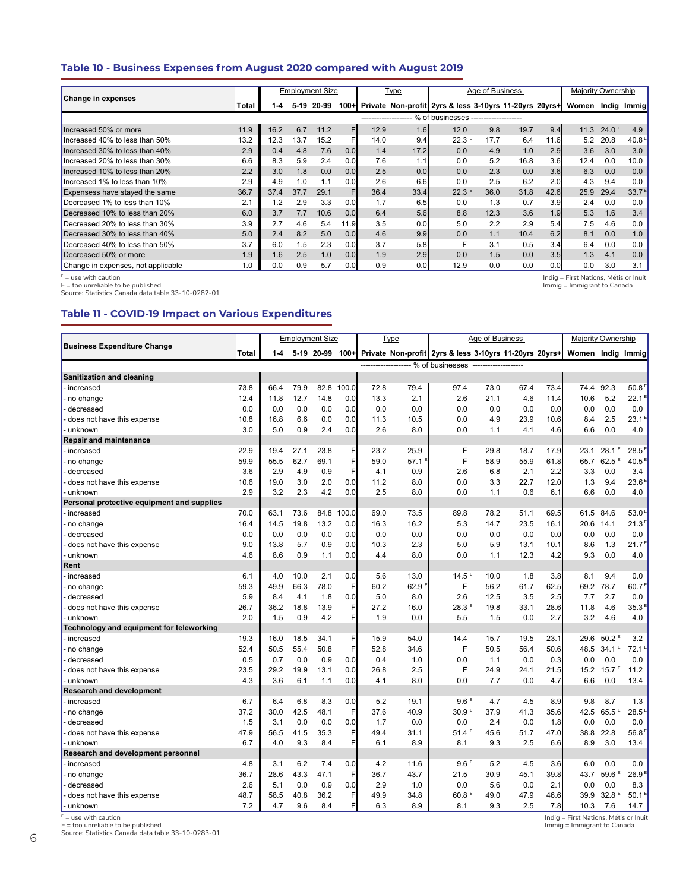## **Table 10 - Business Expenses from August 2020 compared with August 2019**

|                                    |       |      |        | <b>Employment Size</b> |         |      | Type             |                                                           | Age of Business |      |      | <b>Majority Ownership</b> |                   |                   |
|------------------------------------|-------|------|--------|------------------------|---------|------|------------------|-----------------------------------------------------------|-----------------|------|------|---------------------------|-------------------|-------------------|
| <b>Change in expenses</b>          | Total | 1-4  | $5-19$ | 20-99                  | $100 +$ |      |                  | Private Non-profit 2yrs & less 3-10yrs 11-20yrs 20yrs+    |                 |      |      | Women                     |                   | Indig Immig       |
|                                    |       |      |        |                        |         |      |                  | -------------------- % of businesses -------------------- |                 |      |      |                           |                   |                   |
| Increased 50% or more              | 11.9  | 16.2 | 6.7    | 11.2                   | F       | 12.9 | 1.6              | 12.0 <sup>E</sup>                                         | 9.8             | 19.7 | 9.4  | 11.3                      | 24.0 <sup>E</sup> | 4.9               |
| Increased 40% to less than 50%     | 13.2  | 12.3 | 13.7   | 15.2                   | F       | 14.0 | 9.4              | $22.3$ <sup>E</sup>                                       | 17.7            | 6.4  | 11.6 | 5.2                       | 20.8              | 40.8 <sup>E</sup> |
| Increased 30% to less than 40%     | 2.9   | 0.4  | 4.8    | 7.6                    | 0.0     | 1.4  | 17.2             | 0.0                                                       | 4.9             | 1.0  | 2.9  | 3.6                       | 3.0               | 3.0               |
| Increased 20% to less than 30%     | 6.6   | 8.3  | 5.9    | 2.4                    | 0.0     | 7.6  | 1.1              | 0.0                                                       | 5.2             | 16.8 | 3.6  | 12.4                      | 0.0               | 10.0              |
| Increased 10% to less than 20%     | 2.2   | 3.0  | 1.8    | 0.0                    | 0.0     | 2.5  | 0.0              | 0.0                                                       | 2.3             | 0.0  | 3.6  | 6.3                       | 0.0               | 0.0               |
| Increased 1% to less than 10%      | 2.9   | 4.9  | 1.0    | 1.1                    | 0.0     | 2.6  | 6.6              | 0.0                                                       | 2.5             | 6.2  | 2.0  | 4.3                       | 9.4               | 0.0               |
| Expensess have stayed the same     | 36.7  | 37.4 | 37.7   | 29.1                   | F       | 36.4 | 33.4             | $22.3^E$                                                  | 36.0            | 31.8 | 42.6 | 25.9                      | 29.4              | 33.7 <sup>E</sup> |
| Decreased 1% to less than 10%      | 2.1   | 1.2  | 2.9    | 3.3                    | 0.0     | 1.7  | 6.5              | 0.0                                                       | 1.3             | 0.7  | 3.9  | 2.4                       | 0.0               | 0.0               |
| Decreased 10% to less than 20%     | 6.0   | 3.7  | 7.7    | 10.6                   | 0.0     | 6.4  | 5.6              | 8.8                                                       | 12.3            | 3.6  | 1.9  | 5.3                       | 1.6               | 3.4               |
| Decreased 20% to less than 30%     | 3.9   | 2.7  | 4.6    | 5.4                    | 11.9    | 3.5  | 0.0 <sub>l</sub> | 5.0                                                       | 2.2             | 2.9  | 5.4  | 7.5                       | 4.6               | 0.0               |
| Decreased 30% to less than 40%     | 5.0   | 2.4  | 8.2    | 5.0                    | 0.0     | 4.6  | 9.9              | 0.0                                                       | 1.1             | 10.4 | 6.2  | 8.1                       | 0.0               | 1.0               |
| Decreased 40% to less than 50%     | 3.7   | 6.0  | 1.5    | 2.3                    | 0.0     | 3.7  | 5.8              |                                                           | 3.1             | 0.5  | 3.4  | 6.4                       | 0.0               | 0.0               |
| Decreased 50% or more              | 1.9   | 1.6  | 2.5    | 1.0                    | 0.0     | 1.9  | 2.9              | 0.0                                                       | 1.5             | 0.0  | 3.5  | 1.3                       | 4.1               | 0.0               |
| Change in expenses, not applicable | 1.0   | 0.0  | 0.9    | 5.7                    | 0.0     | 0.9  | 0.0              | 12.9                                                      | 0.0             | 0.0  | 0.0  | 0.0                       | 3.0               | 3.1               |

<sup>E</sup> = use with caution<br>F = too unreliable to be published<br>Source: Statistics Canada data table 33-10-0282-01

### **Table 11 - COVID-19 Impact on Various Expenditures**

|                                            |              |      |      | <b>Employment Size</b> |       |      | <b>Type</b> |                                                                        | Age of Business |      |      | <b>Majority Ownership</b> |                     |                   |
|--------------------------------------------|--------------|------|------|------------------------|-------|------|-------------|------------------------------------------------------------------------|-----------------|------|------|---------------------------|---------------------|-------------------|
| <b>Business Expenditure Change</b>         |              |      |      |                        |       |      |             |                                                                        |                 |      |      |                           |                     |                   |
|                                            | <b>Total</b> | 1-4  |      |                        |       |      |             | 5-19 20-99 100+ Private Non-profit 2yrs & less 3-10yrs 11-20yrs 20yrs+ |                 |      |      | Women Indig Immig         |                     |                   |
|                                            |              |      |      |                        |       |      |             | ------------------- % of businesses -------------------                |                 |      |      |                           |                     |                   |
| <b>Sanitization and cleaning</b>           |              |      |      |                        |       |      |             |                                                                        |                 |      |      |                           |                     |                   |
| increased                                  | 73.8         | 66.4 | 79.9 | 82.8                   | 100.0 | 72.8 | 79.4        | 97.4                                                                   | 73.0            | 67.4 | 73.4 | 74.4                      | 92.3                | 50.8              |
| no change                                  | 12.4         | 11.8 | 12.7 | 14.8                   | 0.0   | 13.3 | 2.1         | 2.6                                                                    | 21.1            | 4.6  | 11.4 | 10.6                      | 5.2                 | $22.1^E$          |
| decreased                                  | 0.0          | 0.0  | 0.0  | 0.0                    | 0.0   | 0.0  | 0.0         | 0.0                                                                    | 0.0             | 0.0  | 0.0  | 0.0                       | 0.0                 | 0.0               |
| does not have this expense                 | 10.8         | 16.8 | 6.6  | 0.0                    | 0.0   | 11.3 | 10.5        | 0.0                                                                    | 4.9             | 23.9 | 10.6 | 8.4                       | 2.5                 | 23.1 <sup>E</sup> |
| unknown                                    | 3.0          | 5.0  | 0.9  | 2.4                    | 0.0   | 2.6  | 8.0         | 0.0                                                                    | 1.1             | 4.1  | 4.6  | 6.6                       | 0.0                 | 4.0               |
| <b>Repair and maintenance</b>              |              |      |      |                        |       |      |             |                                                                        |                 |      |      |                           |                     |                   |
| increased                                  | 22.9         | 19.4 | 27.1 | 23.8                   | F     | 23.2 | 25.9        | F                                                                      | 29.8            | 18.7 | 17.9 | 23.1                      | 28.1<br>Е           | 28.5              |
| no change                                  | 59.9         | 55.5 | 62.7 | 69.1                   | Ë     | 59.0 | 57.1        | F                                                                      | 58.9            | 55.9 | 61.8 | 65.7                      | $62.5$ <sup>E</sup> | 40.5              |
| decreased                                  | 3.6          | 2.9  | 4.9  | 0.9                    | F     | 4.1  | 0.9         | 2.6                                                                    | 6.8             | 2.1  | 2.2  | 3.3                       | 0.0                 | 3.4               |
| does not have this expense                 | 10.6         | 19.0 | 3.0  | 2.0                    | 0.0   | 11.2 | 8.0         | 0.0                                                                    | 3.3             | 22.7 | 12.0 | 1.3                       | 9.4                 | 23.6 <sup>E</sup> |
| ∙unknown                                   | 2.9          | 3.2  | 2.3  | 4.2                    | 0.0   | 2.5  | 8.0         | 0.0                                                                    | 1.1             | 0.6  | 6.1  | 6.6                       | 0.0                 | 4.0               |
| Personal protective equipment and supplies |              |      |      |                        |       |      |             |                                                                        |                 |      |      |                           |                     |                   |
| increased                                  | 70.0         | 63.1 | 73.6 | 84.8                   | 100.0 | 69.0 | 73.5        | 89.8                                                                   | 78.2            | 51.1 | 69.5 | 61.5                      | 84.6                | 53.0 <sup>5</sup> |
| no change                                  | 16.4         | 14.5 | 19.8 | 13.2                   | 0.0   | 16.3 | 16.2        | 5.3                                                                    | 14.7            | 23.5 | 16.1 | 20.6                      | 14.1                | 21.3 <sup>E</sup> |
| decreased                                  | 0.0          | 0.0  | 0.0  | 0.0                    | 0.0   | 0.0  | 0.0         | 0.0                                                                    | 0.0             | 0.0  | 0.0  | 0.0                       | 0.0                 | 0.0               |
| does not have this expense                 | 9.0          | 13.8 | 5.7  | 0.9                    | 0.0   | 10.3 | 2.3         | 5.0                                                                    | 5.9             | 13.1 | 10.1 | 8.6                       | 1.3                 | 21.7 <sup>E</sup> |
| unknown                                    | 4.6          | 8.6  | 0.9  | 1.1                    | 0.0   | 4.4  | 8.0         | 0.0                                                                    | 1.1             | 12.3 | 4.2  | 9.3                       | 0.0                 | 4.0               |
| Rent                                       |              |      |      |                        |       |      |             |                                                                        |                 |      |      |                           |                     |                   |
| increased                                  | 6.1          | 4.0  | 10.0 | 2.1                    | 0.0   | 5.6  | 13.0        | 14.5 <sup>E</sup>                                                      | 10.0            | 1.8  | 3.8  | 8.1                       | 9.4                 | 0.0               |
| no change                                  | 59.3         | 49.9 | 66.3 | 78.0                   | F     | 60.2 | 62.9        | F                                                                      | 56.2            | 61.7 | 62.5 | 69.2                      | 78.7                | 60.7 <sup>E</sup> |
| decreased                                  | 5.9          | 8.4  | 4.1  | 1.8                    | 0.0   | 5.0  | 8.0         | 2.6                                                                    | 12.5            | 3.5  | 2.5  | 7.7                       | 2.7                 | 0.0               |
| does not have this expense                 | 26.7         | 36.2 | 18.8 | 13.9                   | F     | 27.2 | 16.0        | 28.3F                                                                  | 19.8            | 33.1 | 28.6 | 11.8                      | 4.6                 | 35.3 <sup>E</sup> |
| unknown                                    | 2.0          | 1.5  | 0.9  | 4.2                    | F     | 1.9  | 0.0         | 5.5                                                                    | 1.5             | 0.0  | 2.7  | 3.2                       | 4.6                 | 4.0               |
| Technology and equipment for teleworking   |              |      |      |                        |       |      |             |                                                                        |                 |      |      |                           |                     |                   |
| increased                                  | 19.3         | 16.0 | 18.5 | 34.1                   | F     | 15.9 | 54.0        | 14.4                                                                   | 15.7            | 19.5 | 23.1 | 29.6                      | 50.2 <sup>E</sup>   | 3.2               |
| no change                                  | 52.4         | 50.5 | 55.4 | 50.8                   | F     | 52.8 | 34.6        | F                                                                      | 50.5            | 56.4 | 50.6 | 48.5                      | $34.1^E$            | 72.1 <sup>5</sup> |
| decreased                                  | 0.5          | 0.7  | 0.0  | 0.9                    | 0.0   | 0.4  | 1.0         | 0.0                                                                    | 1.1             | 0.0  | 0.3  | 0.0                       | 0.0                 | 0.0               |
| does not have this expense                 | 23.5         | 29.2 | 19.9 | 13.1                   | 0.0   | 26.8 | 2.5         | F                                                                      | 24.9            | 24.1 | 21.5 | 15.2                      | 15.7 <sup>E</sup>   | 11.2              |
| unknown                                    | 4.3          | 3.6  | 6.1  | 1.1                    | 0.0   | 4.1  | 8.0         | 0.0                                                                    | 7.7             | 0.0  | 4.7  | 6.6                       | 0.0                 | 13.4              |
| <b>Research and development</b>            |              |      |      |                        |       |      |             |                                                                        |                 |      |      |                           |                     |                   |
| increased                                  | 6.7          | 6.4  | 6.8  | 8.3                    | 0.0   | 5.2  | 19.1        | 9.6 <sup>E</sup>                                                       | 4.7             | 4.5  | 8.9  | 9.8                       | 8.7                 | 1.3               |
| no change                                  | 37.2         | 30.0 | 42.5 | 48.1                   | F     | 37.6 | 40.9        | 30.9 <sup>E</sup>                                                      | 37.9            | 41.3 | 35.6 | 42.5                      | $65.5$ <sup>E</sup> | 28.5              |
| decreased                                  | 1.5          | 3.1  | 0.0  | 0.0                    | 0.0   | 1.7  | 0.0         | 0.0                                                                    | 2.4             | 0.0  | 1.8  | 0.0                       | 0.0                 | 0.0               |
| does not have this expense                 | 47.9         | 56.5 | 41.5 | 35.3                   | F     | 49.4 | 31.1        | $51.4^E$                                                               | 45.6            | 51.7 | 47.0 | 38.8                      | 22.8                | 56.8 <sup>E</sup> |
| - unknown                                  | 6.7          | 4.0  | 9.3  | 8.4                    | F     | 6.1  | 8.9         | 8.1                                                                    | 9.3             | 2.5  | 6.6  | 8.9                       | 3.0                 | 13.4              |
| Research and development personnel         |              |      |      |                        |       |      |             |                                                                        |                 |      |      |                           |                     |                   |
| · increased                                | 4.8          | 3.1  | 6.2  | 7.4                    | 0.0   | 4.2  | 11.6        | 9.6E                                                                   | 5.2             | 4.5  | 3.6  | 6.0                       | 0.0                 | 0.0               |
| no change                                  | 36.7         | 28.6 | 43.3 | 47.1                   | F     | 36.7 | 43.7        | 21.5                                                                   | 30.9            | 45.1 | 39.8 | 43.7                      | $59.6$ <sup>E</sup> | 26.9 <sup>E</sup> |
| decreased                                  | 2.6          | 5.1  | 0.0  | 0.9                    | 0.0   | 2.9  | 1.0         | 0.0                                                                    | 5.6             | 0.0  | 2.1  | 0.0                       | 0.0                 | 8.3               |
| does not have this expense                 | 48.7         | 58.5 | 40.8 | 36.2                   | F     | 49.9 | 34.8        | 60.8 F                                                                 | 49.0            | 47.9 | 46.6 | 39.9                      | 32.8 <sup>E</sup>   | 50.1 <sup>E</sup> |
| - unknown                                  | 7.2          | 4.7  | 9.6  | 8.4                    | F     | 6.3  | 8.9         | 8.1                                                                    | 9.3             | 2.5  | 7.8  | 10.3                      | 7.6                 | 14.7              |

<sup>E</sup> = use with caution<br>F = too unreliable to be published<br>Source: Statistics Canada data table 33-10-0283-01

Indig = First Nations, Métis or Inuit Immig = Immigrant to Canada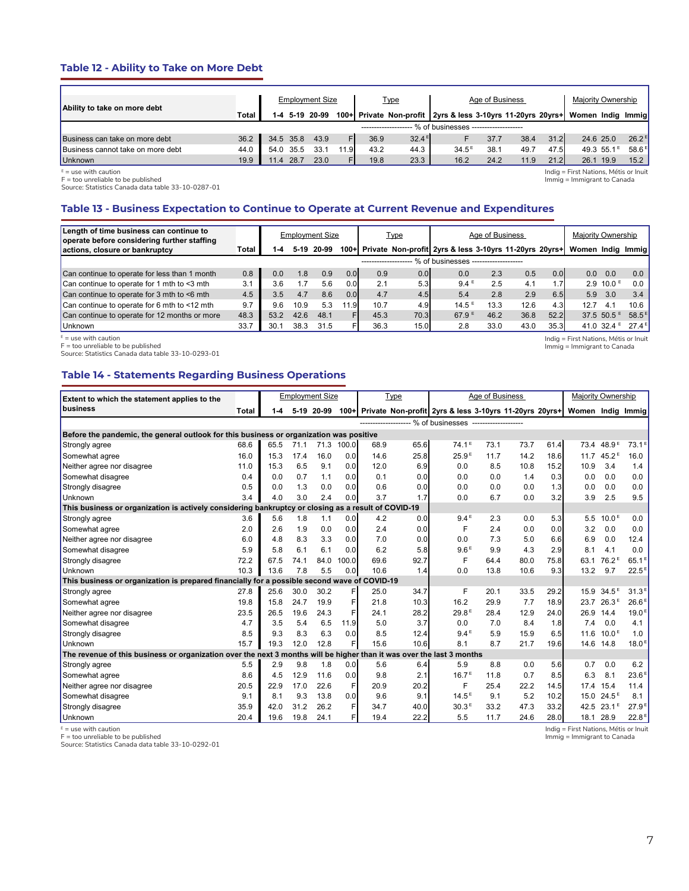## **Table 12 - Ability to Take on More Debt**

| Ability to take on more debt      |       |                                       |           | <b>Employment Size</b> |      |      | <u>Type</u>       | Age of Business                                             | Majority Ownership |      |      |                   |           |                     |
|-----------------------------------|-------|---------------------------------------|-----------|------------------------|------|------|-------------------|-------------------------------------------------------------|--------------------|------|------|-------------------|-----------|---------------------|
|                                   | Total |                                       |           | 1-4 5-19 20-99         |      |      |                   | 100+ Private Non-profit 2yrs & less 3-10yrs 11-20yrs 20yrs+ |                    |      |      | Women Indig Immig |           |                     |
|                                   |       | - % of businesses ------------------- |           |                        |      |      |                   |                                                             |                    |      |      |                   |           |                     |
| Business can take on more debt    | 36.2  |                                       | 34.5 35.8 | 43.9                   |      | 36.9 | $32.4^{\text{E}}$ |                                                             | 37.7               | 38.4 | 31.2 |                   | 24.6 25.0 | $26.2^{\text{E}}$   |
| Business cannot take on more debt | 44.0  | 54.0                                  | 35.5      | 33.7                   | 11.9 | 43.2 | 44.3              | $34.5^{\circ}$                                              | 38.1               | 49.7 | 47.5 |                   | 49.3 55.1 | $58.6$ <sup>E</sup> |
| Unknown                           | 19.9  | 11.4                                  | 28.7      | 23.0                   |      | 19.8 | 23.3              | 16.2                                                        | 24.2               | 11.9 | 21.2 | 26.1              | 19.9      | 15.2                |

 $E =$  use with caution

F = too unreliable to be published Source: Statistics Canada data table 33-10-0287-01

Indig = First Nations, Métis or Inuit Immig = Immigrant to Canada

Indig = First Nations, Métis or Inuit Immig = Immigrant to Canada

## **Table 13 - Business Expectation to Continue to Operate at Current Revenue and Expenditures**

| Length of time business can continue to<br>operate before considering further staffing |       |      |        | <b>Employment Size</b> |              | <u>Type</u>        |      | Age of Business                                        | Majority Ownership |      |                  |             |                         |                  |
|----------------------------------------------------------------------------------------|-------|------|--------|------------------------|--------------|--------------------|------|--------------------------------------------------------|--------------------|------|------------------|-------------|-------------------------|------------------|
| actions, closure or bankruptcy                                                         | Total | 1-4  | $5-19$ | 20-99                  | $100 +$      |                    |      | Private Non-profit 2yrs & less 3-10yrs 11-20yrs 20yrs+ |                    |      |                  | Women Indig |                         | <b>Immial</b>    |
|                                                                                        |       |      |        |                        |              | ------------------ |      | % of businesses                                        |                    |      |                  |             |                         |                  |
| Can continue to operate for less than 1 month                                          | 0.8   | 0.0  | 1.8    | 0.9                    | 0.0          | 0.9                | 0.0  | 0.0                                                    | 2.3                | 0.5  | 0.0 <sub>l</sub> | 0.0         | 0.0                     | 0.0 <sub>1</sub> |
| Can continue to operate for 1 mth to <3 mth                                            | 3.1   | 3.6  |        | 5.6                    | 0.0          | 2.1                | 5.3  | $9.4^E$                                                | 2.5                | 4.1  |                  |             | $2.9 10.0$ <sup>E</sup> | 0.0              |
| Can continue to operate for 3 mth to $\leq 6$ mth                                      | 4.5   | 3.5  | 4.7    | 8.6                    | 0.0          | 4.7                | 4.5  | 5.4                                                    | 2.8                | 2.9  | 6.5              | 5.9         | 3.0                     | 3.4              |
| Can continue to operate for 6 mth to $\leq$ 12 mth                                     | 9.7   | 9.6  | 10.9   | 5.3                    | $.9 \square$ | 10.7               | 4.9  | $14.5^{\circ}$                                         | 13.3               | 12.6 | 4.3'             | 12.7        | 4.1                     | 10.6             |
| Can continue to operate for 12 months or more                                          | 48.3  | 53.2 | 42.6   | 48.1                   |              | 45.3               | 70.3 | 67.9E                                                  | 46.2               | 36.8 | 52.2             |             | 37.5 $50.5^{\circ}$     | $58.5^{\circ}$   |
| Unknown                                                                                | 33.7  | 30.1 | 38.3   | 31.5                   |              | 36.3               | 15.0 | 2.8                                                    | 33.0               | 43.0 | 35.3             |             | 41.0 $32.4^{\circ}$     | $27.4^E$         |

 $E =$  use with caution

F = too unreliable to be published Source: Statistics Canada data table 33-10-0293-01

## **Table 14 - Statements Regarding Business Operations**

| Extent to which the statement applies to the                                                                          |       |      |      | <b>Employment Size</b> |       |      | Type |                                                             | Age of Business |      |      | <b>Majority Ownership</b> |                        |                   |  |
|-----------------------------------------------------------------------------------------------------------------------|-------|------|------|------------------------|-------|------|------|-------------------------------------------------------------|-----------------|------|------|---------------------------|------------------------|-------------------|--|
| business                                                                                                              | Total | 1-4  |      | 5-19 20-99             |       |      |      | 100+ Private Non-profit 2yrs & less 3-10yrs 11-20yrs 20yrs+ |                 |      |      | Women Indig Immig         |                        |                   |  |
|                                                                                                                       |       |      |      |                        |       |      |      | ------------------- % of businesses -------------------     |                 |      |      |                           |                        |                   |  |
| Before the pandemic, the general outlook for this business or organization was positive                               |       |      |      |                        |       |      |      |                                                             |                 |      |      |                           |                        |                   |  |
| Strongly agree                                                                                                        | 68.6  | 65.5 | 71.1 | 71.3                   | 100.0 | 68.9 | 65.6 | 74.1 <sup>E</sup>                                           | 73.1            | 73.7 | 61.4 | 73.4                      | 48.9 <sup>E</sup>      | 73.1 <sup>E</sup> |  |
| Somewhat agree                                                                                                        | 16.0  | 15.3 | 17.4 | 16.0                   | 0.0   | 14.6 | 25.8 | 25.9 <sup>E</sup>                                           | 11.7            | 14.2 | 18.6 | 11.7                      | $45.2^{\circ}$         | 16.0              |  |
| Neither agree nor disagree                                                                                            | 11.0  | 15.3 | 6.5  | 9.1                    | 0.0   | 12.0 | 6.9  | 0.0                                                         | 8.5             | 10.8 | 15.2 | 10.9                      | 3.4                    | 1.4               |  |
| Somewhat disagree                                                                                                     | 0.4   | 0.0  | 0.7  | 1.1                    | 0.0   | 0.1  | 0.0  | 0.0                                                         | 0.0             | 1.4  | 0.3  | 0.0                       | 0.0                    | 0.0               |  |
| Strongly disagree                                                                                                     | 0.5   | 0.0  | 1.3  | 0.0                    | 0.0   | 0.6  | 0.0  | 0.0                                                         | 0.0             | 0.0  | 1.3  | 0.0                       | 0.0                    | 0.0               |  |
| Unknown                                                                                                               | 3.4   | 4.0  | 3.0  | 2.4                    | 0.0   | 3.7  | 1.7  | 0.0                                                         | 6.7             | 0.0  | 3.2  | 3.9                       | 2.5                    | 9.5               |  |
| This business or organization is actively considering bankruptcy or closing as a result of COVID-19                   |       |      |      |                        |       |      |      |                                                             |                 |      |      |                           |                        |                   |  |
| Strongly agree                                                                                                        | 3.6   | 5.6  | 1.8  | 1.1                    | 0.0   | 4.2  | 0.0  | 9.4E                                                        | 2.3             | 0.0  | 5.3  | 5.5                       | 10.0 <sup>E</sup>      | 0.0               |  |
| Somewhat agree                                                                                                        | 2.0   | 2.6  | 1.9  | 0.0                    | 0.0   | 2.4  | 0.0  | F                                                           | 2.4             | 0.0  | 0.0  | 3.2                       | 0.0                    | 0.0               |  |
| Neither agree nor disagree                                                                                            | 6.0   | 4.8  | 8.3  | 3.3                    | 0.0   | 7.0  | 0.0  | 0.0                                                         | 7.3             | 5.0  | 6.6  | 6.9                       | 0.0                    | 12.4              |  |
| Somewhat disagree                                                                                                     | 5.9   | 5.8  | 6.1  | 6.1                    | 0.0   | 6.2  | 5.8  | 9.6 <sup>E</sup>                                            | 9.9             | 4.3  | 2.9  | 8.1                       | 4.1                    | 0.0               |  |
| Strongly disagree                                                                                                     | 72.2  | 67.5 | 74.1 | 84.0                   | 100.0 | 69.6 | 92.7 | F                                                           | 64.4            | 80.0 | 75.8 | 63.1                      | 76.2 <sup>E</sup>      | $65.1^E$          |  |
| Unknown                                                                                                               | 10.3  | 13.6 | 7.8  | 5.5                    | 0.0   | 10.6 | 1.4  | 0.0                                                         | 13.8            | 10.6 | 9.3  | 13.2                      | 9.7                    | $22.5^{\circ}$    |  |
| This business or organization is prepared financially for a possible second wave of COVID-19                          |       |      |      |                        |       |      |      |                                                             |                 |      |      |                           |                        |                   |  |
| Strongly agree                                                                                                        | 27.8  | 25.6 | 30.0 | 30.2                   | F     | 25.0 | 34.7 | F                                                           | 20.1            | 33.5 | 29.2 |                           | 15.9 34.5 <sup>E</sup> | 31.3E             |  |
| Somewhat agree                                                                                                        | 19.8  | 15.8 | 24.7 | 19.9                   | F     | 21.8 | 10.3 | 16.2                                                        | 29.9            | 7.7  | 18.9 | 23.7                      | 26.3E                  | 26.6 <sup>E</sup> |  |
| Neither agree nor disagree                                                                                            | 23.5  | 26.5 | 19.6 | 24.3                   | F     | 24.1 | 28.2 | 29.8 <sup>E</sup>                                           | 28.4            | 12.9 | 24.0 | 26.9                      | 14.4                   | 19.0 <sup>E</sup> |  |
| Somewhat disagree                                                                                                     | 4.7   | 3.5  | 5.4  | 6.5                    | 11.9  | 5.0  | 3.7  | 0.0                                                         | 7.0             | 8.4  | 1.8  | 7.4                       | 0.0                    | 4.1               |  |
| Strongly disagree                                                                                                     | 8.5   | 9.3  | 8.3  | 6.3                    | 0.0   | 8.5  | 12.4 | 9.4 <sup>E</sup>                                            | 5.9             | 15.9 | 6.5  | 11.6                      | 10.0 <sup>E</sup>      | 1.0               |  |
| Unknown                                                                                                               | 15.7  | 19.3 | 12.0 | 12.8                   | F     | 15.6 | 10.6 | 8.1                                                         | 8.7             | 21.7 | 19.6 |                           | 14.6 14.8              | 18.0 <sup>E</sup> |  |
| The revenue of this business or organization over the next 3 months will be higher than it was over the last 3 months |       |      |      |                        |       |      |      |                                                             |                 |      |      |                           |                        |                   |  |
| Strongly agree                                                                                                        | 5.5   | 2.9  | 9.8  | 1.8                    | 0.0   | 5.6  | 6.4  | 5.9                                                         | 8.8             | 0.0  | 5.6  | 0.7                       | 0.0                    | 6.2               |  |
| Somewhat agree                                                                                                        | 8.6   | 4.5  | 12.9 | 11.6                   | 0.0   | 9.8  | 2.1  | 16.7 <sup>E</sup>                                           | 11.8            | 0.7  | 8.5  | 6.3                       | 8.1                    | 23.6 <sup>E</sup> |  |
| Neither agree nor disagree                                                                                            | 20.5  | 22.9 | 17.0 | 22.6                   | F     | 20.9 | 20.2 | F                                                           | 25.4            | 22.2 | 14.5 |                           | 17.4 15.4              | 11.4              |  |
| Somewhat disagree                                                                                                     | 9.1   | 8.1  | 9.3  | 13.8                   | 0.0   | 9.6  | 9.1  | 14.5 <sup>E</sup>                                           | 9.1             | 5.2  | 10.2 | 15.0                      | $24.5^{\circ}$         | 8.1               |  |
| Strongly disagree                                                                                                     | 35.9  | 42.0 | 31.2 | 26.2                   | F     | 34.7 | 40.0 | 30.3 <sup>E</sup>                                           | 33.2            | 47.3 | 33.2 | 42.5                      | $23.1^{\circ}$         | 27.9 <sup>E</sup> |  |
| Unknown                                                                                                               | 20.4  | 19.6 | 19.8 | 24.1                   | F     | 19.4 | 22.2 | 5.5                                                         | 11.7            | 24.6 | 28.0 |                           | 18.1 28.9              | 22.8 <sup>E</sup> |  |

 $E =$  use with caution F = too unreliable to be published

Source: Statistics Canada data table 33-10-0292-01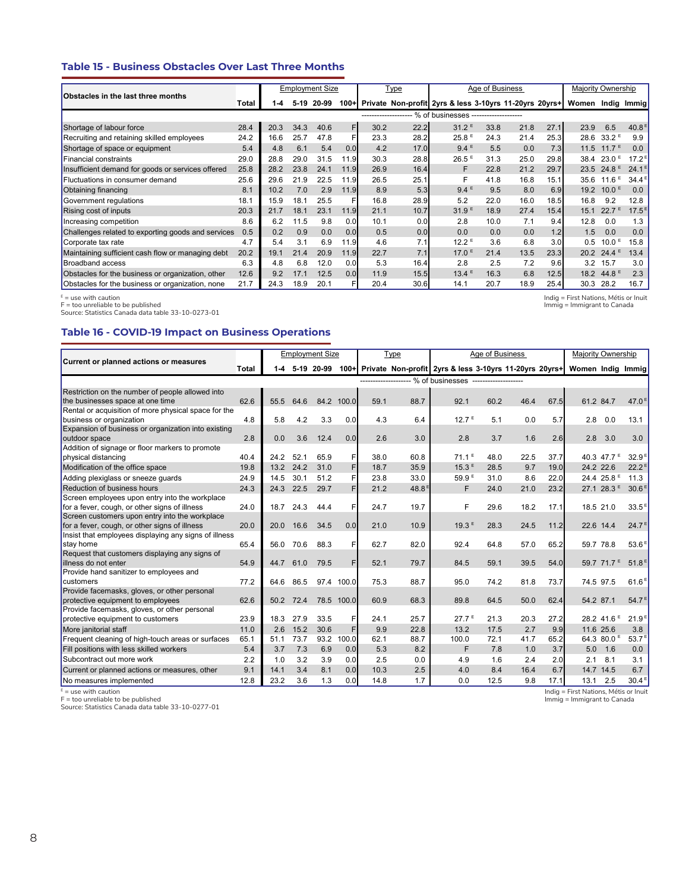### **Table 15 - Business Obstacles Over Last Three Months**

| Obstacles in the last three months                 |       |         |        | <b>Employment Size</b> |                  |                       | <b>Type</b> |                                                        | Age of Business |      |      | Majority Ownership |                                |                   |
|----------------------------------------------------|-------|---------|--------|------------------------|------------------|-----------------------|-------------|--------------------------------------------------------|-----------------|------|------|--------------------|--------------------------------|-------------------|
|                                                    | Total | $1 - 4$ | $5-19$ | 20-99                  | $100 +$          |                       |             | Private Non-profit 2yrs & less 3-10yrs 11-20yrs 20yrs+ |                 |      |      | Women              |                                | Indig Immig       |
|                                                    |       |         |        |                        |                  | --------------------- |             | % of businesses --------------------                   |                 |      |      |                    |                                |                   |
| Shortage of labour force                           | 28.4  | 20.3    | 34.3   | 40.6                   | F                | 30.2                  | 22.2        | $31.2^E$                                               | 33.8            | 21.8 | 27.1 | 23.9               | 6.5                            | 40.8 <sup>8</sup> |
| Recruiting and retaining skilled employees         | 24.2  | 16.6    | 25.7   | 47.8                   | F                | 23.3                  | 28.2        | 25.8 <sup>E</sup>                                      | 24.3            | 21.4 | 25.3 | 28.6               | $33.2^{\circ}$                 | 9.9               |
| Shortage of space or equipment                     | 5.4   | 4.8     | 6.1    | 5.4                    | 0.0 <sub>l</sub> | 4.2                   | 17.0        | $9.4^E$                                                | 5.5             | 0.0  | 7.3  | 11.5               | 11.7 <sup>E</sup>              | 0.0               |
| <b>Financial constraints</b>                       | 29.0  | 28.8    | 29.0   | 31.5                   | 11.9             | 30.3                  | 28.8        | $26.5$ <sup>E</sup>                                    | 31.3            | 25.0 | 29.8 | 38.4               | $23.0$ <sup>E</sup>            | 17.2 <sup>8</sup> |
| Insufficient demand for goods or services offered  | 25.8  | 28.2    | 23.8   | 24.1                   | 11.9             | 26.9                  | 16.4        | F                                                      | 22.8            | 21.2 | 29.7 | 23.5               | 24.8 <sup>E</sup>              | 24.1              |
| Fluctuations in consumer demand                    | 25.6  | 29.6    | 21.9   | 22.5                   | 11.9             | 26.5                  | 25.1        |                                                        | 41.8            | 16.8 | 15.1 | 35.6               | 11.6                           | 34.4              |
| Obtaining financing                                | 8.1   | 10.2    | 7.0    | 2.9                    | 11.9             | 8.9                   | 5.3         | $9.4^E$                                                | 9.5             | 8.0  | 6.9  | 19.2               | 10.0 <sup>E</sup>              | 0.0               |
| Government regulations                             | 18.1  | 15.9    | 18.1   | 25.5                   |                  | 16.8                  | 28.9        | 5.2                                                    | 22.0            | 16.0 | 18.5 | 16.8               | 9.2                            | 12.8              |
| Rising cost of inputs                              | 20.3  | 21.7    | 18.1   | 23.1                   | 11.9             | 21.1                  | 10.7        | 31.9 <sup>E</sup>                                      | 18.9            | 27.4 | 15.4 | 15.1               | $22.7^E$                       | $17.5^{\text{E}}$ |
| Increasing competition                             | 8.6   | 6.2     | 11.5   | 9.8                    | 0.01             | 10.1                  | 0.0         | 2.8                                                    | 10.0            | 7.1  | 9.4  | 12.8               | 0.0                            | 1.3               |
| Challenges related to exporting goods and services | 0.5   | 0.2     | 0.9    | 0.0                    | 0.0 <sub>l</sub> | 0.5                   | 0.0         | 0.0                                                    | 0.0             | 0.0  | 1.2  | 1.5                | 0.0                            | 0.0               |
| Corporate tax rate                                 | 4.7   | 5.4     | 3.1    | 6.9                    | 11.9             | 4.6                   | 7.1         | 12.2 <sup>E</sup>                                      | 3.6             | 6.8  | 3.0  | 0.5                | 10.0 <sup>E</sup>              | 15.8              |
| Maintaining sufficient cash flow or managing debt  | 20.2  | 19.1    | 21.4   | 20.9                   | 11.9             | 22.7                  | 7.1         | 17.0 <sup>E</sup>                                      | 21.4            | 13.5 | 23.3 | 20.2               | $24.4^{\circ}$                 | 13.4              |
| <b>Broadband access</b>                            | 6.3   | 4.8     | 6.8    | 12.0                   | 0.01             | 5.3                   | 16.4        | 2.8                                                    | 2.5             | 7.2  | 9.6  | 3.2                | 15.7                           | 3.0               |
| Obstacles for the business or organization, other  | 12.6  | 9.2     | 17.1   | 12.5                   | 0.01             | 11.9                  | 15.5        | $13.4^E$                                               | 16.3            | 6.8  | 12.5 | 18.2               | 44.8 <sup><math>E</math></sup> | 2.3               |
| Obstacles for the business or organization, none   | 21.7  | 24.3    | 18.9   | 20.1                   |                  | 20.4                  | 30.6        | 14.1                                                   | 20.7            | 18.9 | 25.4 | 30.3               | 28.2                           | 16.7              |

<sup>E</sup> = use with caution<br>F = too unreliable to be published<br>Source: Statistics Canada data table 33-10-0273-01

Indig = First Nations, Métis or Inuit Immig = Immigrant to Canada

#### **Table 16 - COVID-19 Impact on Business Operations**

|                                                       |       |       |      | <b>Employment Size</b> |            |      | Type     |                                                             | Age of Business |      |      | <b>Majority Ownership</b> |                        |                                |  |
|-------------------------------------------------------|-------|-------|------|------------------------|------------|------|----------|-------------------------------------------------------------|-----------------|------|------|---------------------------|------------------------|--------------------------------|--|
| Current or planned actions or measures                | Total | $1-4$ |      | 5-19 20-99             |            |      |          | 100+ Private Non-profit 2yrs & less 3-10yrs 11-20yrs 20yrs+ |                 |      |      | Women Indig Immig         |                        |                                |  |
|                                                       |       |       |      |                        |            |      |          | ------------------- % of businesses --------------------    |                 |      |      |                           |                        |                                |  |
| Restriction on the number of people allowed into      |       |       |      |                        |            |      |          |                                                             |                 |      |      |                           |                        |                                |  |
| the businesses space at one time                      | 62.6  | 55.5  | 64.6 |                        | 84.2 100.0 | 59.1 | 88.7     | 92.1                                                        | 60.2            | 46.4 | 67.5 | 61.2 84.7                 |                        | 47.0 <sup><math>E</math></sup> |  |
| Rental or acquisition of more physical space for the  |       |       |      |                        |            |      |          |                                                             |                 |      |      |                           |                        |                                |  |
| business or organization                              | 4.8   | 5.8   | 4.2  | 3.3                    | 0.0        | 4.3  | 6.4      | 12.7 <sup>E</sup>                                           | 5.1             | 0.0  | 5.7  | 2.8                       | 0.0                    | 13.1                           |  |
| Expansion of business or organization into existing   |       |       |      |                        |            |      |          |                                                             |                 |      |      |                           |                        |                                |  |
| outdoor space                                         | 2.8   | 0.0   | 3.6  | 12.4                   | 0.0        | 2.6  | 3.0      | 2.8                                                         | 3.7             | 1.6  | 2.6  | 2.8                       | 3.0                    | 3.0                            |  |
| Addition of signage or floor markers to promote       |       |       |      |                        |            |      |          |                                                             |                 |      |      |                           |                        |                                |  |
| physical distancing                                   | 40.4  | 24.2  | 52.1 | 65.9                   | F          | 38.0 | 60.8     | $71.1^E$                                                    | 48.0            | 22.5 | 37.7 |                           | 40.3 47.7 <sup>E</sup> | 32.9 <sup>E</sup>              |  |
| Modification of the office space                      | 19.8  | 13.2  | 24.2 | 31.0                   | F          | 18.7 | 35.9     | 15.3E                                                       | 28.5            | 9.7  | 19.0 | 24.2 22.6                 |                        | $22.2^5$                       |  |
| Adding plexiglass or sneeze guards                    | 24.9  | 14.5  | 30.1 | 51.2                   | F          | 23.8 | 33.0     | 59.9 <sup>E</sup>                                           | 31.0            | 8.6  | 22.0 |                           | 24.4 25.8 <sup>E</sup> | 11.3                           |  |
| <b>Reduction of business hours</b>                    | 24.3  | 24.3  | 22.5 | 29.7                   | F          | 21.2 | 48.8 $E$ | F                                                           | 24.0            | 21.0 | 23.2 |                           | 27.1 28.3 <sup>E</sup> | 30.6 <sup>E</sup>              |  |
| Screen employees upon entry into the workplace        |       |       |      |                        |            |      |          |                                                             |                 |      |      |                           |                        |                                |  |
| for a fever, cough, or other signs of illness         | 24.0  | 18.7  | 24.3 | 44.4                   | F          | 24.7 | 19.7     | F                                                           | 29.6            | 18.2 | 17.1 |                           | 18.5 21.0              | 33.5 <sup>E</sup>              |  |
| Screen customers upon entry into the workplace        |       |       |      |                        |            |      |          |                                                             |                 |      |      |                           |                        |                                |  |
| for a fever, cough, or other signs of illness         | 20.0  | 20.0  | 16.6 | 34.5                   | 0.0        | 21.0 | 10.9     | 19.3E                                                       | 28.3            | 24.5 | 11.2 | 22.6 14.4                 |                        | 24.7 <sup>E</sup>              |  |
| Insist that employees displaying any signs of illness |       |       |      |                        |            |      |          |                                                             |                 |      |      |                           |                        |                                |  |
| stay home                                             | 65.4  | 56.0  | 70.6 | 88.3                   | F          | 62.7 | 82.0     | 92.4                                                        | 64.8            | 57.0 | 65.2 |                           | 59.7 78.8              | 53.6 <sup>E</sup>              |  |
| Request that customers displaying any signs of        |       |       |      |                        |            |      |          |                                                             |                 |      |      |                           |                        |                                |  |
| illness do not enter                                  | 54.9  | 44.7  | 61.0 | 79.5                   | F          | 52.1 | 79.7     | 84.5                                                        | 59.1            | 39.5 | 54.0 |                           | 59.7 71.7 <sup>E</sup> | 51.8E                          |  |
| Provide hand sanitizer to employees and               |       |       |      |                        |            |      |          |                                                             |                 |      |      |                           |                        |                                |  |
| customers                                             | 77.2  | 64.6  | 86.5 |                        | 97.4 100.0 | 75.3 | 88.7     | 95.0                                                        | 74.2            | 81.8 | 73.7 | 74.5 97.5                 |                        | 61.6 <sup>E</sup>              |  |
| Provide facemasks, gloves, or other personal          |       |       |      |                        |            |      |          |                                                             |                 |      |      |                           |                        |                                |  |
| protective equipment to employees                     | 62.6  | 50.2  | 72.4 |                        | 78.5 100.0 | 60.9 | 68.3     | 89.8                                                        | 64.5            | 50.0 | 62.4 | 54.2 87.1                 |                        | 54.7 <sup>E</sup>              |  |
| Provide facemasks, gloves, or other personal          |       |       |      |                        |            |      |          |                                                             |                 |      |      |                           |                        |                                |  |
| protective equipment to customers                     | 23.9  | 18.3  | 27.9 | 33.5                   | F          | 24.1 | 25.7     | $27.7^E$                                                    | 21.3            | 20.3 | 27.2 |                           | 28.2 41.6 <sup>E</sup> | 21.9 <sup>E</sup>              |  |
| More janitorial staff                                 | 11.0  | 2.6   | 15.2 | 30.6                   | F          | 9.9  | 22.8     | 13.2                                                        | 17.5            | 2.7  | 9.9  |                           | 11.6 25.6              | 3.8                            |  |
| Frequent cleaning of high-touch areas or surfaces     | 65.1  | 51.1  | 73.7 | 93.2                   | 100.0      | 62.1 | 88.7     | 100.0                                                       | 72.1            | 41.7 | 65.2 |                           | 64.3 80.0 <sup>E</sup> | 53.7 <sup>E</sup>              |  |
| Fill positions with less skilled workers              | 5.4   | 3.7   | 7.3  | 6.9                    | 0.0        | 5.3  | 8.2      | F                                                           | 7.8             | 1.0  | 3.7  | 5.0                       | 1.6                    | 0.0                            |  |
| Subcontract out more work                             | 2.2   | 1.0   | 3.2  | 3.9                    | 0.0        | 2.5  | 0.0      | 4.9                                                         | 1.6             | 2.4  | 2.0  | 2.1                       | 8.1                    | 3.1                            |  |
| Current or planned actions or measures, other         | 9.1   | 14.1  | 3.4  | 8.1                    | 0.0        | 10.3 | 2.5      | 4.0                                                         | 8.4             | 16.4 | 6.7  |                           | 14.7 14.5              | 6.7                            |  |
| No measures implemented                               | 12.8  | 23.2  | 3.6  | 1.3                    | 0.0        | 14.8 | 1.7      | 0.0                                                         | 12.5            | 9.8  | 17.1 | 13.1                      | 2.5                    | 30.4 <sup>E</sup>              |  |

<sup>E</sup> = use with caution<br>F = too unreliable to be published<br>Source: Statistics Canada data table 33-10-0277-01

Indig = First Nations, Métis or Inuit Immig = Immigrant to Canada

8